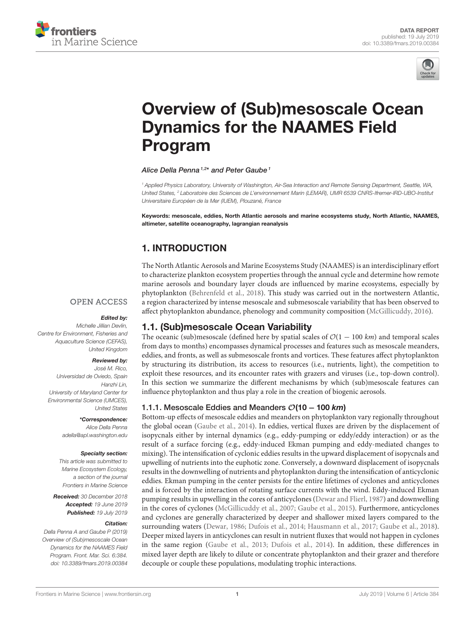<span id="page-0-0"></span>



# [Overview of \(Sub\)mesoscale Ocean](https://www.frontiersin.org/articles/10.3389/fmars.2019.00384/full) Dynamics for the NAAMES Field Program

#### [Alice Della Penna](http://loop.frontiersin.org/people/653945/overview)<sup>1,2\*</sup> and [Peter Gaube](http://loop.frontiersin.org/people/564231/overview)<sup>1</sup>

<sup>1</sup> Applied Physics Laboratory, University of Washington, Air-Sea Interaction and Remote Sensing Department, Seattle, WA, United States, <sup>2</sup> Laboratoire des Sciences de L'environnement Marin (LEMAR), UMR 6539 CNRS-Ifremer-IRD-UBO-Institut Universitaire Européen de la Mer (IUEM), Plouzané, France

Keywords: mesoscale, eddies, North Atlantic aerosols and marine ecosystems study, North Atlantic, NAAMES, altimeter, satellite oceanography, lagrangian reanalysis

# 1. INTRODUCTION

The North Atlantic Aerosols and Marine Ecosystems Study (NAAMES) is an interdisciplinary effort to characterize plankton ecosystem properties through the annual cycle and determine how remote marine aerosols and boundary layer clouds are influenced by marine ecosystems, especially by phytoplankton [\(Behrenfeld et al., 2018\)](#page-5-0). This study was carried out in the nortwestern Atlantic, a region characterized by intense mesoscale and submesoscale variability that has been observed to affect phytoplankton abundance, phenology and community composition [\(McGillicuddy, 2016\)](#page-6-0).

#### **OPEN ACCESS**

#### Edited by:

Michelle Jillian Devlin Centre for Environment, Fisheries and Aquaculture Science (CEFAS), United Kingdom

#### Reviewed by:

José M. Rico, Universidad de Oviedo, Spain Hanzhi Lin, University of Maryland Center for Environmental Science (UMCES), United States

> \*Correspondence: Alice Della Penna

[adella@apl.washington.edu](mailto:adella@apl.washington.edu)

#### Specialty section:

This article was submitted to Marine Ecosystem Ecology, a section of the journal Frontiers in Marine Science

Received: 30 December 2018 Accepted: 19 June 2019 Published: 19 July 2019

#### Citation:

Della Penna A and Gaube P (2019) Overview of (Sub)mesoscale Ocean Dynamics for the NAAMES Field Program. Front. Mar. Sci. 6:384. doi: [10.3389/fmars.2019.00384](https://doi.org/10.3389/fmars.2019.00384) 1.1. (Sub)mesoscale Ocean Variability

The oceanic (sub)mesoscale (defined here by spatial scales of  $\mathcal{O}(1 - 100 \text{ km})$  and temporal scales from days to months) encompasses dynamical processes and features such as mesoscale meanders, eddies, and fronts, as well as submesoscale fronts and vortices. These features affect phytoplankton by structuring its distribution, its access to resources (i.e., nutrients, light), the competition to exploit these resources, and its encounter rates with grazers and viruses (i.e., top-down control). In this section we summarize the different mechanisms by which (sub)mesoscale features can influence phytoplankton and thus play a role in the creation of biogenic aerosols.

#### 1.1.1. Mesoscale Eddies and Meanders O(10 – 100 km)

Bottom-up effects of mesoscale eddies and meanders on phytoplankton vary regionally throughout the global ocean [\(Gaube et al., 2014\)](#page-5-1). In eddies, vertical fluxes are driven by the displacement of isopycnals either by internal dynamics (e.g., eddy-pumping or eddy/eddy interaction) or as the result of a surface forcing (e.g., eddy-induced Ekman pumping and eddy-mediated changes to mixing). The intensification of cyclonic eddies results in the upward displacement of isopycnals and upwelling of nutrients into the euphotic zone. Conversely, a downward displacement of isopycnals results in the downwelling of nutrients and phytoplankton during the intensification of anticyclonic eddies. Ekman pumping in the center persists for the entire lifetimes of cyclones and anticyclones and is forced by the interaction of rotating surface currents with the wind. Eddy-induced Ekman pumping results in upwelling in the cores of anticyclones [\(Dewar and Flierl, 1987\)](#page-5-2) and downwelling in the cores of cyclones [\(McGillicuddy et al., 2007;](#page-6-1) [Gaube et al., 2015\)](#page-5-3). Furthermore, anticyclones and cyclones are generally characterized by deeper and shallower mixed layers compared to the surrounding waters [\(Dewar, 1986;](#page-5-4) [Dufois et al., 2014;](#page-5-5) [Hausmann et al., 2017;](#page-5-6) [Gaube et al., 2018\)](#page-5-7). Deeper mixed layers in anticyclones can result in nutrient fluxes that would not happen in cyclones in the same region [\(Gaube et al., 2013;](#page-5-8) [Dufois et al., 2014\)](#page-5-5). In addition, these differences in mixed layer depth are likely to dilute or concentrate phytoplankton and their grazer and therefore decouple or couple these populations, modulating trophic interactions.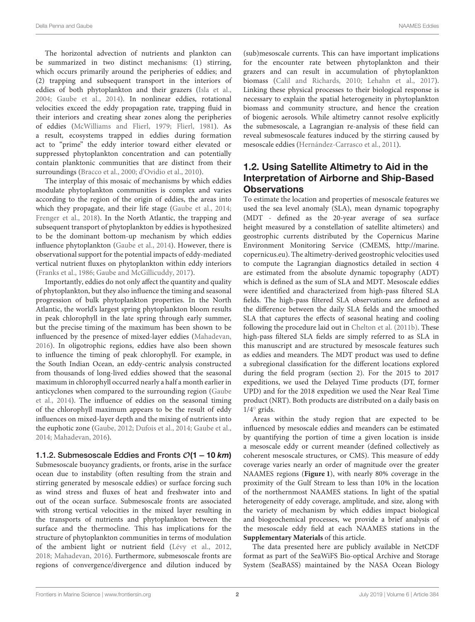The horizontal advection of nutrients and plankton can be summarized in two distinct mechanisms: (1) stirring, which occurs primarily around the peripheries of eddies; and (2) trapping and subsequent transport in the interiors of eddies of both phytoplankton and their grazers [\(Isla et al.,](#page-5-9) [2004;](#page-5-9) [Gaube et al., 2014\)](#page-5-1). In nonlinear eddies, rotational velocities exceed the eddy propagation rate, trapping fluid in their interiors and creating shear zones along the peripheries of eddies [\(McWilliams and Flierl, 1979;](#page-6-2) [Flierl, 1981\)](#page-5-10). As a result, ecosystems trapped in eddies during formation act to "prime" the eddy interior toward either elevated or suppressed phytoplankton concentration and can potentially contain planktonic communities that are distinct from their surroundings [\(Bracco et al., 2000;](#page-5-11) [d'Ovidio et al., 2010\)](#page-5-12).

The interplay of this mosaic of mechanisms by which eddies modulate phytoplankton communities is complex and varies according to the region of the origin of eddies, the areas into which they propagate, and their life stage [\(Gaube et al., 2014;](#page-5-1) [Frenger et al., 2018\)](#page-5-13). In the North Atlantic, the trapping and subsequent transport of phytoplankton by eddies is hypothesized to be the dominant bottom-up mechanism by which eddies influence phytoplankton [\(Gaube et al., 2014\)](#page-5-1). However, there is observational support for the potential impacts of eddy-mediated vertical nutrient fluxes on phytoplankton within eddy interiors [\(Franks et al., 1986;](#page-5-14) [Gaube and McGillicuddy, 2017\)](#page-5-15).

Importantly, eddies do not only affect the quantity and quality of phytoplankton, but they also influence the timing and seasonal progression of bulk phytoplankton properties. In the North Atlantic, the world's largest spring phytoplankton bloom results in peak chlorophyll in the late spring through early summer, but the precise timing of the maximum has been shown to be influenced by the presence of mixed-layer eddies [\(Mahadevan,](#page-6-3) [2016\)](#page-6-3). In oligotrophic regions, eddies have also been shown to influence the timing of peak chlorophyll. For example, in the South Indian Ocean, an eddy-centric analysis constructed from thousands of long-lived eddies showed that the seasonal maximum in chlorophyll occurred nearly a half a month earlier in anticyclones when compared to the surrounding region (Gaube et al., [2014\)](#page-5-1). The influence of eddies on the seasonal timing of the chlorophyll maximum appears to be the result of eddy influences on mixed-layer depth and the mixing of nutrients into the euphotic zone [\(Gaube, 2012;](#page-5-16) [Dufois et al., 2014;](#page-5-5) [Gaube et al.,](#page-5-1) [2014;](#page-5-1) [Mahadevan, 2016\)](#page-6-3).

1.1.2. Submesoscale Eddies and Fronts  $O(1 – 10 km)$ Submesoscale buoyancy gradients, or fronts, arise in the surface ocean due to instability (often resulting from the strain and stirring generated by mesoscale eddies) or surface forcing such as wind stress and fluxes of heat and freshwater into and out of the ocean surface. Submesoscale fronts are associated with strong vertical velocities in the mixed layer resulting in the transports of nutrients and phytoplankton between the surface and the thermocline. This has implications for the structure of phytoplankton communities in terms of modulation of the ambient light or nutrient field [\(Lévy et al., 2012,](#page-5-17) [2018;](#page-6-4) [Mahadevan, 2016\)](#page-6-3). Furthermore, submesoscale fronts are regions of convergence/divergence and dilution induced by (sub)mesoscale currents. This can have important implications for the encounter rate between phytoplankton and their grazers and can result in accumulation of phytoplankton biomass [\(Calil and Richards, 2010;](#page-5-18) [Lehahn et al., 2017\)](#page-5-19). Linking these physical processes to their biological response is necessary to explain the spatial heterogeneity in phytoplankton biomass and community structure, and hence the creation of biogenic aerosols. While altimetry cannot resolve explicitly the submesoscale, a Lagrangian re-analysis of these field can reveal submesoscale features induced by the stirring caused by mesoscale eddies [\(Hernández-Carrasco et al., 2011\)](#page-5-20).

## 1.2. Using Satellite Altimetry to Aid in the Interpretation of Airborne and Ship-Based **Observations**

To estimate the location and properties of mesoscale features we used the sea level anomaly (SLA), mean dynamic topography (MDT - defined as the 20-year average of sea surface height measured by a constellation of satellite altimeters) and geostrophic currents distributed by the Copernicus Marine Environment Monitoring Service (CMEMS, [http://marine.](http://marine.copernicus.eu) [copernicus.eu\)](http://marine.copernicus.eu). The altimetry-derived geostrophic velocities used to compute the Lagrangian diagnostics detailed in section 4 are estimated from the absolute dynamic topography (ADT) which is defined as the sum of SLA and MDT. Mesoscale eddies were identified and characterized from high-pass filtered SLA fields. The high-pass filtered SLA observations are defined as the difference between the daily SLA fields and the smoothed SLA that captures the effects of seasonal heating and cooling following the procedure laid out in [Chelton et al. \(2011b\)](#page-5-21). These high-pass filtered SLA fields are simply referred to as SLA in this manuscript and are structured by mesoscale features such as eddies and meanders. The MDT product was used to define a subregional classification for the different locations explored during the field program (section 2). For the 2015 to 2017 expeditions, we used the Delayed Time products (DT, former UPD) and for the 2018 expedition we used the Near Real Time product (NRT). Both products are distributed on a daily basis on 1/4◦ grids.

Areas within the study region that are expected to be influenced by mesoscale eddies and meanders can be estimated by quantifying the portion of time a given location is inside a mesoscale eddy or current meander (defined collectively as coherent mesoscale structures, or CMS). This measure of eddy coverage varies nearly an order of magnitude over the greater NAAMES regions (**[Figure 1](#page-2-0)**), with nearly 80% coverage in the proximity of the Gulf Stream to less than 10% in the location of the northernmost NAAMES stations. In light of the spatial heterogeneity of eddy coverage, amplitude, and size, along with the variety of mechanism by which eddies impact biological and biogeochemical processes, we provide a brief analysis of the mesoscale eddy field at each NAAMES stations in the **[Supplementary Materials](#page-5-22)** of this article.

The data presented here are publicly available in NetCDF format as part of the SeaWiFS Bio-optical Archive and Storage System (SeaBASS) maintained by the NASA Ocean Biology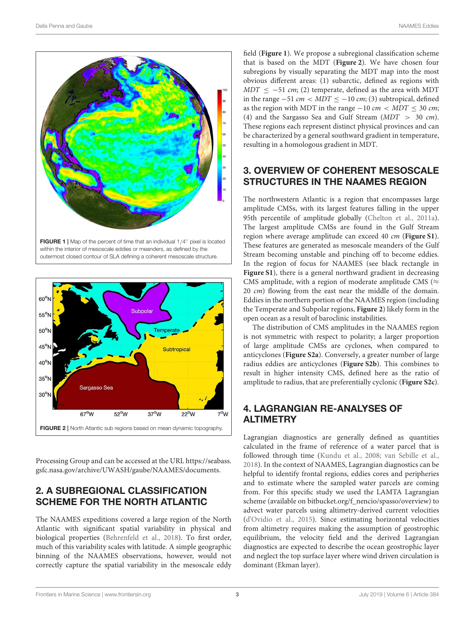

<span id="page-2-0"></span>within the interior of mesoscale eddies or meanders, as defined by the outermost closed contour of SLA defining a coherent mesoscale structure.



<span id="page-2-1"></span>Processing Group and can be accessed at the URL [https://seabass.](https://seabass.gsfc.nasa.gov/archive/UWASH/gaube/NAAMES/documents) [gsfc.nasa.gov/archive/UWASH/gaube/NAAMES/documents.](https://seabass.gsfc.nasa.gov/archive/UWASH/gaube/NAAMES/documents)

# 2. A SUBREGIONAL CLASSIFICATION SCHEME FOR THE NORTH ATLANTIC

The NAAMES expeditions covered a large region of the North Atlantic with significant spatial variability in physical and biological properties [\(Behrenfeld et al., 2018\)](#page-5-0). To first order, much of this variability scales with latitude. A simple geographic binning of the NAAMES observations, however, would not correctly capture the spatial variability in the mesoscale eddy

field (**[Figure 1](#page-2-0)**). We propose a subregional classification scheme that is based on the MDT (**[Figure 2](#page-2-1)**). We have chosen four subregions by visually separating the MDT map into the most obvious different areas: (1) subarctic, defined as regions with  $MDT \le -51$  cm; (2) temperate, defined as the area with MDT in the range  $-51$  cm < MDT <  $-10$  cm; (3) subtropical, defined as the region with MDT in the range  $-10 \text{ cm} < MDT \leq 30 \text{ cm}$ ; (4) and the Sargasso Sea and Gulf Stream (MDT > 30 cm). These regions each represent distinct physical provinces and can be characterized by a general southward gradient in temperature, resulting in a homologous gradient in MDT.

# 3. OVERVIEW OF COHERENT MESOSCALE STRUCTURES IN THE NAAMES REGION

The northwestern Atlantic is a region that encompasses large amplitude CMSs, with its largest features falling in the upper 95th percentile of amplitude globally [\(Chelton et al., 2011a\)](#page-5-23). The largest amplitude CMSs are found in the Gulf Stream region where average amplitude can exceed 40 cm (**[Figure S1](#page-5-22)**). These features are generated as mesoscale meanders of the Gulf Stream becoming unstable and pinching off to become eddies. In the region of focus for NAAMES (see black rectangle in **[Figure S1](#page-5-22)**), there is a general northward gradient in decreasing CMS amplitude, with a region of moderate amplitude CMS ( $\approx$ 20 cm) flowing from the east near the middle of the domain. Eddies in the northern portion of the NAAMES region (including the Temperate and Subpolar regions, **[Figure 2](#page-2-1)**) likely form in the open ocean as a result of baroclinic instabilities.

The distribution of CMS amplitudes in the NAAMES region is not symmetric with respect to polarity; a larger proportion of large amplitude CMSs are cyclones, when compared to anticyclones (**[Figure S2a](#page-5-22)**). Conversely, a greater number of large radius eddies are anticyclones (**[Figure S2b](#page-5-22)**). This combines to result in higher intensity CMS, defined here as the ratio of amplitude to radius, that are preferentially cyclonic (**[Figure S2c](#page-5-22)**).

# 4. LAGRANGIAN RE-ANALYSES OF ALTIMETRY

Lagrangian diagnostics are generally defined as quantities calculated in the frame of reference of a water parcel that is followed through time [\(Kundu et al., 2008;](#page-5-24) [van Sebille et al.,](#page-6-5) [2018\)](#page-6-5). In the context of NAAMES, Lagrangian diagnostics can be helpful to identify frontal regions, eddies cores and peripheries and to estimate where the sampled water parcels are coming from. For this specific study we used the LAMTA Lagrangian scheme (available on [bitbucket.org/f\\_nencio/spasso/overview\)](#page-0-0) to advect water parcels using altimetry-derived current velocities [\(d'Ovidio et al., 2015\)](#page-5-25). Since estimating horizontal velocities from altimetry requires making the assumption of geostrophic equilibrium, the velocity field and the derived Lagrangian diagnostics are expected to describe the ocean geostrophic layer and neglect the top surface layer where wind driven circulation is dominant (Ekman layer).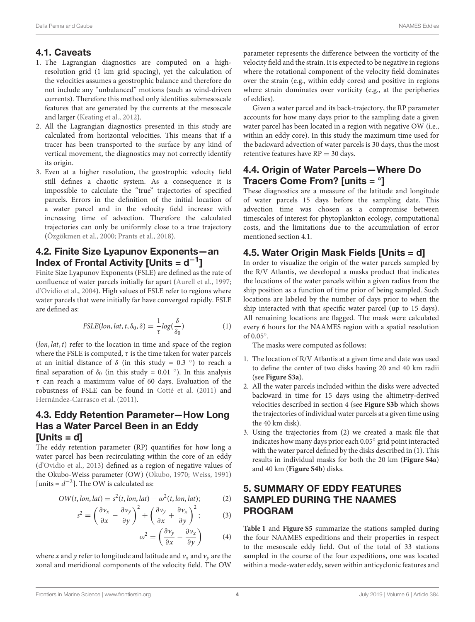#### 4.1. Caveats

- 1. The Lagrangian diagnostics are computed on a highresolution grid (1 km grid spacing), yet the calculation of the velocities assumes a geostrophic balance and therefore do not include any "unbalanced" motions (such as wind-driven currents). Therefore this method only identifies submesoscale features that are generated by the currents at the mesoscale and larger [\(Keating et al., 2012\)](#page-5-26).
- 2. All the Lagrangian diagnostics presented in this study are calculated from horizontal velocities. This means that if a tracer has been transported to the surface by any kind of vertical movement, the diagnostics may not correctly identify its origin.
- 3. Even at a higher resolution, the geostrophic velocity field still defines a chaotic system. As a consequence it is impossible to calculate the "true" trajectories of specified parcels. Errors in the definition of the initial location of a water parcel and in the velocity field increase with increasing time of advection. Therefore the calculated trajectories can only be uniformly close to a true trajectory [\(Özgökmen et al., 2000;](#page-6-6) [Prants et al., 2018\)](#page-6-7).

## 4.2. Finite Size Lyapunov Exponents—an Index of Frontal Activity [Units =  $d^{-1}$ ]

Finite Size Lyapunov Exponents (FSLE) are defined as the rate of confluence of water parcels initially far apart [\(Aurell et al., 1997;](#page-5-27) [d'Ovidio et al., 2004\)](#page-5-28). High values of FSLE refer to regions where water parcels that were initially far have converged rapidly. FSLE are defined as:

$$
FSLE(lon, lat, t, \delta_0, \delta) = \frac{1}{\tau} log(\frac{\delta}{\delta_0})
$$
\n(1)

 $(lon, lat, t)$  refer to the location in time and space of the region where the FSLE is computed,  $\tau$  is the time taken for water parcels at an initial distance of  $\delta$  (in this study = 0.3 °) to reach a final separation of  $\delta_0$  (in this study = 0.01 °). In this analysis  $\tau$  can reach a maximum value of 60 days. Evaluation of the robustness of FSLE can be found in [Cotté et al. \(2011\)](#page-5-29) and [Hernández-Carrasco et al. \(2011\)](#page-5-20).

## 4.3. Eddy Retention Parameter—How Long Has a Water Parcel Been in an Eddy [Units = d]

The eddy retention parameter (RP) quantifies for how long a water parcel has been recirculating within the core of an eddy [\(d'Ovidio et al., 2013\)](#page-5-30) defined as a region of negative values of the Okubo-Weiss parameter (OW) [\(Okubo, 1970;](#page-6-8) [Weiss, 1991\)](#page-6-9) [units =  $d^{-2}$ ]. The OW is calculated as:

$$
OW(t, \text{lon}, \text{lat}) = s^2(t, \text{lon}, \text{lat}) - \omega^2(t, \text{lon}, \text{lat});
$$
 (2)

$$
s^{2} = \left(\frac{\partial v_{x}}{\partial x} - \frac{\partial v_{y}}{\partial y}\right)^{2} + \left(\frac{\partial v_{y}}{\partial x} + \frac{\partial v_{x}}{\partial y}\right)^{2};
$$
 (3)

$$
\omega^2 = \left(\frac{\partial v_y}{\partial x} - \frac{\partial v_x}{\partial y}\right) \tag{4}
$$

where x and y refer to longitude and latitude and  $v_x$  and  $v_y$  are the zonal and meridional components of the velocity field. The OW

parameter represents the difference between the vorticity of the velocity field and the strain. It is expected to be negative in regions where the rotational component of the velocity field dominates over the strain (e.g., within eddy cores) and positive in regions where strain dominates over vorticity (e.g., at the peripheries of eddies).

Given a water parcel and its back-trajectory, the RP parameter accounts for how many days prior to the sampling date a given water parcel has been located in a region with negative OW (i.e., within an eddy core). In this study the maximum time used for the backward advection of water parcels is 30 days, thus the most retentive features have  $RP = 30$  days.

# 4.4. Origin of Water Parcels—Where Do Tracers Come From? [units = °]

These diagnostics are a measure of the latitude and longitude of water parcels 15 days before the sampling date. This advection time was chosen as a compromise between timescales of interest for phytoplankton ecology, computational costs, and the limitations due to the accumulation of error mentioned section 4.1.

## 4.5. Water Origin Mask Fields [Units = d]

In order to visualize the origin of the water parcels sampled by the R/V Atlantis, we developed a masks product that indicates the locations of the water parcels within a given radius from the ship position as a function of time prior of being sampled. Such locations are labeled by the number of days prior to when the ship interacted with that specific water parcel (up to 15 days). All remaining locations are flagged. The mask were calculated every 6 hours for the NAAMES region with a spatial resolution of 0.05◦ .

The masks were computed as follows:

- 1. The location of R/V Atlantis at a given time and date was used to define the center of two disks having 20 and 40 km radii (see **[Figure S3a](#page-5-22)**).
- 2. All the water parcels included within the disks were advected backward in time for 15 days using the altimetry-derived velocities described in section 4 (see **[Figure S3b](#page-5-22)** which shows the trajectories of individual water parcels at a given time using the 40 km disk).
- 3. Using the trajectories from (2) we created a mask file that indicates how many days prior each 0.05◦ grid point interacted with the water parcel defined by the disks described in (1). This results in individual masks for both the 20 km (**[Figure S4a](#page-5-22)**) and 40 km (**[Figure S4b](#page-5-22)**) disks.

# 5. SUMMARY OF EDDY FEATURES SAMPLED DURING THE NAAMES PROGRAM

**[Table 1](#page-4-0)** and **[Figure S5](#page-5-22)** summarize the stations sampled during the four NAAMES expeditions and their properties in respect to the mesoscale eddy field. Out of the total of 33 stations sampled in the course of the four expeditions, one was located within a mode-water eddy, seven within anticyclonic features and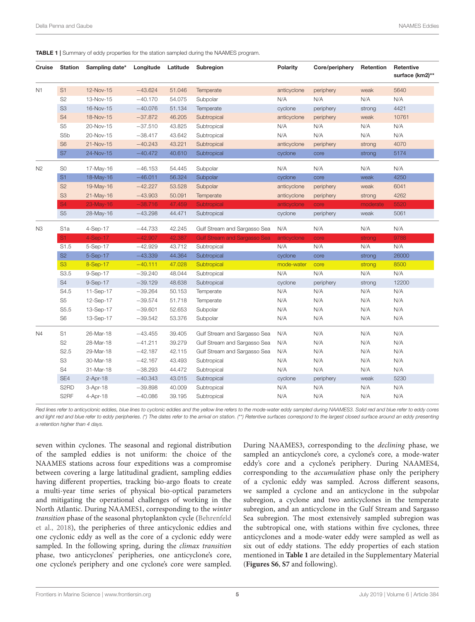<span id="page-4-0"></span>TABLE 1 | Summary of eddy properties for the station sampled during the NAAMES program.

| Cruise         | <b>Station</b>    | Sampling date* | Longitude | Latitude | Subregion                           | Polarity    | Core/periphery | Retention | Retentive<br>surface (km2)** |
|----------------|-------------------|----------------|-----------|----------|-------------------------------------|-------------|----------------|-----------|------------------------------|
| N1             | S1                | 12-Nov-15      | $-43.624$ | 51.046   | Temperate                           | anticyclone | periphery      | weak      | 5640                         |
|                | S <sub>2</sub>    | 13-Nov-15      | $-40.170$ | 54.075   | Subpolar                            | N/A         | N/A            | N/A       | N/A                          |
|                | S <sub>3</sub>    | 16-Nov-15      | $-40.076$ | 51.134   | Temperate                           | cyclone     | periphery      | strong    | 4421                         |
|                | S <sub>4</sub>    | 18-Nov-15      | $-37.872$ | 46.205   | Subtropical                         | anticyclone | periphery      | weak      | 10761                        |
|                | S <sub>5</sub>    | 20-Nov-15      | $-37.510$ | 43.825   | Subtropical                         | N/A         | N/A            | N/A       | N/A                          |
|                | S <sub>5</sub> b  | 20-Nov-15      | $-38.417$ | 43.642   | Subtropical                         | N/A         | N/A            | N/A       | N/A                          |
|                | S <sub>6</sub>    | 21-Nov-15      | $-40.243$ | 43.221   | Subtropical                         | anticyclone | periphery      | strong    | 4070                         |
|                | S7                | 24-Nov-15      | $-40.472$ | 40.610   | Subtropical                         | cyclone     | core           | strong    | 5174                         |
| N <sub>2</sub> | S <sub>0</sub>    | 17-May-16      | $-46.153$ | 54.445   | Subpolar                            | N/A         | N/A            | N/A       | N/A                          |
|                | S <sub>1</sub>    | 18-May-16      | $-46.011$ | 56.324   | Subpolar                            | cyclone     | core           | weak      | 4250                         |
|                | S <sub>2</sub>    | 19-May-16      | $-42.227$ | 53.528   | Subpolar                            | anticyclone | periphery      | weak      | 6041                         |
|                | S <sub>3</sub>    | 21-May-16      | $-43.903$ | 50.091   | Temperate                           | anticyclone | periphery      | strong    | 4262                         |
|                | S <sub>4</sub>    | 23-May-16      | $-38.716$ | 47.459   | Subtropical                         | anticyclone | core           | moderate  | 5520                         |
|                | S <sub>5</sub>    | 28-May-16      | $-43.298$ | 44.471   | Subtropical                         | cyclone     | periphery      | weak      | 5061                         |
| N <sub>3</sub> | S <sub>1</sub> a  | 4-Sep-17       | $-44.733$ | 42.245   | Gulf Stream and Sargasso Sea        | N/A         | N/A            | N/A       | N/A                          |
|                | S <sub>1</sub>    | $4-Sep-17$     | $-42.907$ | 42.387   | <b>Gulf Stream and Sargasso Sea</b> | anticyclone | core           | strong    | 9788                         |
|                | S1.5              | 5-Sep-17       | $-42.929$ | 43.712   | Subtropical                         | N/A         | N/A            | N/A       | N/A                          |
|                | S <sub>2</sub>    | 5-Sep-17       | $-43.339$ | 44.364   | Subtropical                         | cyclone     | core           | strong    | 26000                        |
|                | S <sub>3</sub>    | 8-Sep-17       | $-40.111$ | 47.028   | Subtropical                         | mode-water  | core           | strong    | 8500                         |
|                | S3.5              | 9-Sep-17       | $-39.240$ | 48.044   | Subtropical                         | N/A         | N/A            | N/A       | N/A                          |
|                | S <sub>4</sub>    | 9-Sep-17       | $-39.129$ | 48.638   | Subtropical                         | cyclone     | periphery      | strong    | 12200                        |
|                | S4.5              | 11-Sep-17      | $-39.264$ | 50.153   | Temperate                           | N/A         | N/A            | N/A       | N/A                          |
|                | S <sub>5</sub>    | 12-Sep-17      | $-39.574$ | 51.718   | Temperate                           | N/A         | N/A            | N/A       | N/A                          |
|                | S5.5              | 13-Sep-17      | $-39.601$ | 52.653   | Subpolar                            | N/A         | N/A            | N/A       | N/A                          |
|                | S <sub>6</sub>    | 13-Sep-17      | $-39.542$ | 53.376   | Subpolar                            | N/A         | N/A            | N/A       | N/A                          |
| N4             | S <sub>1</sub>    | 26-Mar-18      | $-43.455$ | 39.405   | Gulf Stream and Sargasso Sea        | N/A         | N/A            | N/A       | N/A                          |
|                | S <sub>2</sub>    | 28-Mar-18      | $-41.211$ | 39.279   | Gulf Stream and Sargasso Sea        | N/A         | N/A            | N/A       | N/A                          |
|                | S <sub>2.5</sub>  | 29-Mar-18      | $-42.187$ | 42.115   | Gulf Stream and Sargasso Sea        | N/A         | N/A            | N/A       | N/A                          |
|                | S3                | 30-Mar-18      | $-42.167$ | 43.493   | Subtropical                         | N/A         | N/A            | N/A       | N/A                          |
|                | S4                | 31-Mar-18      | $-38.293$ | 44.472   | Subtropical                         | N/A         | N/A            | N/A       | N/A                          |
|                | SE4               | $2-Apr-18$     | $-40.343$ | 43.015   | Subtropical                         | cyclone     | periphery      | weak      | 5230                         |
|                | S <sub>2</sub> RD | 3-Apr-18       | $-39.898$ | 40.009   | Subtropical                         | N/A         | N/A            | N/A       | N/A                          |
|                | S <sub>2</sub> RF | 4-Apr-18       | $-40.086$ | 39.195   | Subtropical                         | N/A         | N/A            | N/A       | N/A                          |

Red lines refer to anticyclonic eddies, blue lines to cyclonic eddies and the yellow line refers to the mode-water eddy sampled during NAAMES3. Solid red and blue refer to eddy cores and light red and blue refer to eddy peripheries. (\*) The dates refer to the arrival on station. (\*\*) Retentive surfaces correspond to the largest closed surface around an eddy presenting a retention higher than 4 days.

seven within cyclones. The seasonal and regional distribution of the sampled eddies is not uniform: the choice of the NAAMES stations across four expeditions was a compromise between covering a large latitudinal gradient, sampling eddies having different properties, tracking bio-argo floats to create a multi-year time series of physical bio-optical parameters and mitigating the operational challenges of working in the North Atlantic. During NAAMES1, corresponding to the winter transition phase of the seasonal phytoplankton cycle (Behrenfeld et al., [2018\)](#page-5-0), the peripheries of three anticyclonic eddies and one cyclonic eddy as well as the core of a cyclonic eddy were sampled. In the following spring, during the *climax transition* phase, two anticyclones' peripheries, one anticyclone's core, one cyclone's periphery and one cyclone's core were sampled. During NAAMES3, corresponding to the declining phase, we sampled an anticyclone's core, a cyclone's core, a mode-water eddy's core and a cyclone's periphery. During NAAMES4, corresponding to the accumulation phase only the periphery of a cyclonic eddy was sampled. Across different seasons, we sampled a cyclone and an anticyclone in the subpolar subregion, a cyclone and two anticyclones in the temperate subregion, and an anticyclone in the Gulf Stream and Sargasso Sea subregion. The most extensively sampled subregion was the subtropical one, with stations within five cyclones, three anticyclones and a mode-water eddy were sampled as well as six out of eddy stations. The eddy properties of each station mentioned in **[Table 1](#page-4-0)** are detailed in the Supplementary Material (**[Figures S6](#page-5-22)**, **[S7](#page-5-22)** and following).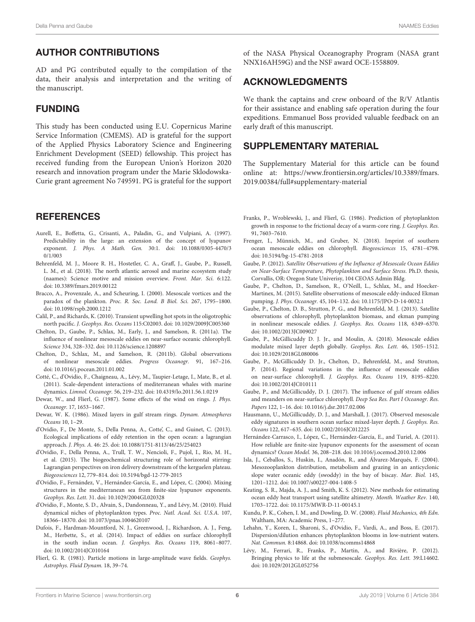#### AUTHOR CONTRIBUTIONS

AD and PG contributed equally to the compilation of the data, their analysis and interpretation and the writing of the manuscript.

#### FUNDING

This study has been conducted using E.U. Copernicus Marine Service Information (CMEMS). AD is grateful for the support of the Applied Physics Laboratory Science and Engineering Enrichment Development (SEED) fellowship. This project has received funding from the European Union's Horizon 2020 research and innovation program under the Marie Sklodowska-Curie grant agreement No 749591. PG is grateful for the support

#### **REFERENCES**

- <span id="page-5-27"></span>Aurell, E., Boffetta, G., Crisanti, A., Paladin, G., and Vulpiani, A. (1997). Predictability in the large: an extension of the concept of lyapunov exponent. J. Phys. A Math. Gen. [30:1. doi: 10.1088/0305-4470/3](https://doi.org/10.1088/0305-4470/30/1/003) 0/1/003
- <span id="page-5-0"></span>Behrenfeld, M. J., Moore R. H., Hostetler, C. A., Graff, J., Gaube, P., Russell, L. M., et al. (2018). The north atlantic aerosol and marine ecosystem study (naames): Science motive and mission overview. Front. Mar. Sci. 6:122. doi: [10.3389/fmars.2019.00122](https://doi.org/10.3389/fmars.2019.00122)
- <span id="page-5-11"></span>Bracco, A., Provenzale, A., and Scheuring, I. (2000). Mesoscale vortices and the paradox of the plankton. Proc. R. Soc. Lond. B Biol. Sci. 267, 1795–1800. doi: [10.1098/rspb.2000.1212](https://doi.org/10.1098/rspb.2000.1212)
- <span id="page-5-18"></span>Calil, P., and Richards, K. (2010). Transient upwelling hot spots in the oligotrophic north pacific. J. Geophys. Res. Oceans 115:C02003. doi: [10.1029/2009JC005360](https://doi.org/10.1029/2009JC005360)
- <span id="page-5-23"></span>Chelton, D., Gaube, P., Schlax, M., Early, J., and Samelson, R. (2011a). The influence of nonlinear mesoscale eddies on near-surface oceanic chlorophyll. Science 334, 328–332. doi: [10.1126/science.1208897](https://doi.org/10.1126/science.1208897)
- <span id="page-5-21"></span>Chelton, D., Schlax, M., and Samelson, R. (2011b). Global observations of nonlinear mesoscale eddies. Progress Oceanogr. 91, 167–216. doi: [10.1016/j.pocean.2011.01.002](https://doi.org/10.1016/j.pocean.2011.01.002)
- <span id="page-5-29"></span>Cotté, C., d'Ovidio, F., Chaigneau, A., Lévy, M., Taupier-Letage, I., Mate, B., et al. (2011). Scale-dependent interactions of mediterranean whales with marine dynamics. Limnol. Oceanogr. 56, 219–232. doi: [10.4319/lo.2011.56.1.0219](https://doi.org/10.4319/lo.2011.56.1.0219)
- <span id="page-5-2"></span>Dewar, W., and Flierl, G. (1987). Some effects of the wind on rings. J. Phys. Oceanogr. 17, 1653–1667.
- <span id="page-5-4"></span>Dewar, W. K. (1986). Mixed layers in gulf stream rings. Dynam. Atmospheres Oceans 10, 1–29.
- <span id="page-5-30"></span>d'Ovidio, F., De Monte, S., Della Penna, A., Cotte', C., and Guinet, C. (2013). Ecological implications of eddy retention in the open ocean: a lagrangian approach. J. Phys. A. 46: 25. doi: [10.1088/1751-8113/46/25/254023](https://doi.org/10.1088/1751-8113/46/25/254023)
- <span id="page-5-25"></span>d'Ovidio, F., Della Penna, A., Trull, T. W., Nencioli, F., Pujol, I., Rio, M. H., et al. (2015). The biogeochemical structuring role of horizontal stirring: Lagrangian perspectives on iron delivery downstream of the kerguelen plateau. Biogeosciences 12, 779–814. doi: [10.5194/bgd-12-779-2015](https://doi.org/10.5194/bgd-12-779-2015)
- <span id="page-5-28"></span>d'Ovidio, F., Fernández, V., Hernández-García, E., and López, C. (2004). Mixing structures in the mediterranean sea from finite-size lyapunov exponents. Geophys. Res. Lett. 31. doi: [10.1029/2004GL020328](https://doi.org/10.1029/2004GL020328)
- <span id="page-5-12"></span>d'Ovidio, F., Monte, S. D., Alvain, S., Dandonneau, Y., and Lévy, M. (2010). Fluid dynamical niches of phytoplankton types. Proc. Natl. Acad. Sci. U.S.A. 107, 18366–18370. doi: [10.1073/pnas.1004620107](https://doi.org/10.1073/pnas.1004620107)
- <span id="page-5-5"></span>Dufois, F., Hardman-Mountford, N. J., Greenwood, J., Richardson, A. J., Feng, M., Herbette, S., et al. (2014). Impact of eddies on surface chlorophyll in the south indian ocean. J. Geophys. Res. Oceans 119, 8061–8077. doi: [10.1002/2014JC010164](https://doi.org/10.1002/2014JC010164)
- <span id="page-5-10"></span>Flierl, G. R. (1981). Particle motions in large-amplitude wave fields. Geophys. Astrophys. Fluid Dynam. 18, 39–74.

of the NASA Physical Oceanography Program (NASA grant NNX16AH59G) and the NSF award OCE-1558809.

#### ACKNOWLEDGMENTS

We thank the captains and crew onboard of the R/V Atlantis for their assistance and enabling safe operation during the four expeditions. Emmanuel Boss provided valuable feedback on an early draft of this manuscript.

#### SUPPLEMENTARY MATERIAL

<span id="page-5-22"></span>The Supplementary Material for this article can be found [online at: https://www.frontiersin.org/articles/10.3389/fmars.](https://www.frontiersin.org/articles/10.3389/fmars.2019.00384/full#supplementary-material) 2019.00384/full#supplementary-material

- <span id="page-5-14"></span>Franks, P., Wroblewski, J., and Flierl, G. (1986). Prediction of phytoplankton growth in response to the frictional decay of a warm-core ring. J. Geophys. Res. 91, 7603–7610.
- <span id="page-5-13"></span>Frenger, I., Münnich, M., and Gruber, N. (2018). Imprint of southern ocean mesoscale eddies on chlorophyll. Biogeosciences 15, 4781–4798. doi: [10.5194/bg-15-4781-2018](https://doi.org/10.5194/bg-15-4781-2018)
- <span id="page-5-16"></span>Gaube, P. (2012). Satellite Observations of the Influence of Mesoscale Ocean Eddies on Near-Surface Temperature, Phytoplankton and Surface Stress. Ph.D. thesis, Corvallis, OR: Oregon State Univerisy, 104 CEOAS Admin Bldg.
- <span id="page-5-3"></span>Gaube, P., Chelton, D., Samelson, R., O'Neill, L., Schlax, M., and Hoecker-Martinex, M. (2015). Satellite observations of mesoscale eddy-induced Ekman pumping. J. Phys. Oceanogr. 45, 104–132. doi: [10.1175/JPO-D-14-0032.1](https://doi.org/10.1175/JPO-D-14-0032.1)
- <span id="page-5-8"></span>Gaube, P., Chelton, D. B., Strutton, P. G., and Behrenfeld, M. J. (2013). Satellite observations of chlorophyll, phytoplankton biomass, and ekman pumping in nonlinear mesoscale eddies. J. Geophys. Res. Oceans 118, 6349–6370. doi: [10.1002/2013JC009027](https://doi.org/10.1002/2013JC009027)
- <span id="page-5-7"></span>Gaube, P., McGillicuddy D. J. Jr., and Moulin, A. (2018). Mesoscale eddies modulate mixed layer depth globally. Geophys. Res. Lett. 46, 1505–1512. doi: [10.1029/2018GL080006](https://doi.org/10.1029/2018GL080006)
- <span id="page-5-1"></span>Gaube, P., McGillicuddy D. Jr., Chelton, D., Behrenfeld, M., and Strutton, P. (2014). Regional variations in the influence of mesoscale eddies on near-surface chlorophyll. J. Geophys. Res. Oceans 119, 8195–8220. doi: [10.1002/2014JC010111](https://doi.org/10.1002/2014JC010111)
- <span id="page-5-15"></span>Gaube, P., and McGillicuddy, D. J. (2017). The influence of gulf stream eddies and meanders on near-surface chlorophyll. Deep Sea Res. Part I Oceanogr. Res. Papers 122, 1–16. doi: [10.1016/j.dsr.2017.02.006](https://doi.org/10.1016/j.dsr.2017.02.006)
- <span id="page-5-6"></span>Hausmann, U., McGillicuddy, D. J., and Marshall, J. (2017). Observed mesoscale eddy signatures in southern ocean surface mixed-layer depth. J. Geophys. Res. Oceans 122, 617–635. doi: [10.1002/2016JC012225](https://doi.org/10.1002/2016JC012225)
- <span id="page-5-20"></span>Hernández-Carrasco, I., López, C., Hernández-García, E., and Turiel, A. (2011). How reliable are finite-size lyapunov exponents for the assessment of ocean dynamics? Ocean Model. 36, 208–218. doi: [10.1016/j.ocemod.2010.12.006](https://doi.org/10.1016/j.ocemod.2010.12.006)
- <span id="page-5-9"></span>Isla, J., Ceballos, S., Huskin, I., Anadón, R., and Álvarez-Marqués, F. (2004). Mesozooplankton distribution, metabolism and grazing in an anticyclonic slope water oceanic eddy (swoddy) in the bay of biscay. Mar. Biol. 145, 1201–1212. doi: [10.1007/s00227-004-1408-5](https://doi.org/10.1007/s00227-004-1408-5)
- <span id="page-5-26"></span>Keating, S. R., Majda, A. J., and Smith, K. S. (2012). New methods for estimating ocean eddy heat transport using satellite altimetry. Month. Weather Rev. 140, 1703–1722. doi: [10.1175/MWR-D-11-00145.1](https://doi.org/10.1175/MWR-D-11-00145.1)
- <span id="page-5-24"></span>Kundu, P. K., Cohen, I. M., and Dowling, D. W. (2008). Fluid Mechanics, 4th Edn. Waltham, MA: Academic Press, 1–277.
- <span id="page-5-19"></span>Lehahn, Y., Koren, I., Sharoni, S., d'Ovidio, F., Vardi, A., and Boss, E. (2017). Dispersion/dilution enhances phytoplankton blooms in low-nutrient waters. Nat. Commun. 8:14868. doi: [10.1038/ncomms14868](https://doi.org/10.1038/ncomms14868)
- <span id="page-5-17"></span>Lévy, M., Ferrari, R., Franks, P., Martin, A., and Rivière, P. (2012). Bringing physics to life at the submesoscale. Geophys. Res. Lett. 39:L14602. doi: [10.1029/2012GL052756](https://doi.org/10.1029/2012GL052756)